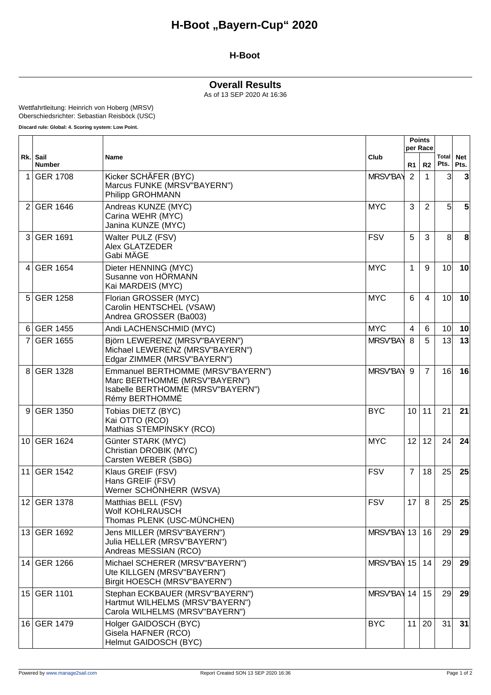### **H-Boot**

### **Overall Results**

As of 13 SEP 2020 At 16:36

Wettfahrtleitung: Heinrich von Hoberg (MRSV) Oberschiedsrichter: Sebastian Reisböck (USC)

**Discard rule: Global: 4. Scoring system: Low Point.**

|                 | Rk. Sail<br><b>Number</b> | Name                                                                                                                      | Club            | <b>Points</b><br>per Race |                |                 |                    |
|-----------------|---------------------------|---------------------------------------------------------------------------------------------------------------------------|-----------------|---------------------------|----------------|-----------------|--------------------|
|                 |                           |                                                                                                                           |                 | R1.                       | R <sub>2</sub> | Total<br>Pts.   | <b>Net</b><br>Pts. |
| 1               | <b>GER 1708</b>           | Kicker SCHÄFER (BYC)<br>Marcus FUNKE (MRSV"BAYERN")<br>Philipp GROHMANN                                                   | <b>MRSV"BAY</b> | 2                         | 1              | 3               | 3                  |
| 2               | <b>GER 1646</b>           | Andreas KUNZE (MYC)<br>Carina WEHR (MYC)<br>Janina KUNZE (MYC)                                                            | <b>MYC</b>      | 3                         | 2              | 5               | 5                  |
| 3               | <b>GER 1691</b>           | Walter PULZ (FSV)<br>Alex GLATZEDER<br>Gabi MÄGE                                                                          | <b>FSV</b>      | 5                         | 3              | 8               | 8                  |
| $\overline{4}$  | <b>GER 1654</b>           | Dieter HENNING (MYC)<br>Susanne von HORMANN<br>Kai MARDEIS (MYC)                                                          | <b>MYC</b>      | 1                         | 9              | 10 <sup>1</sup> | 10                 |
| 5 <sup>1</sup>  | <b>GER 1258</b>           | Florian GROSSER (MYC)<br>Carolin HENTSCHEL (VSAW)<br>Andrea GROSSER (Ba003)                                               | <b>MYC</b>      | 6                         | $\overline{4}$ | 10 <sup>1</sup> | 10                 |
| 6               | <b>GER 1455</b>           | Andi LACHENSCHMID (MYC)                                                                                                   | <b>MYC</b>      | $\overline{4}$            | 6              | 10 <sup>1</sup> | 10                 |
| 7               | <b>GER 1655</b>           | Björn LEWERENZ (MRSV"BAYERN")<br>Michael LEWERENZ (MRSV"BAYERN")<br>Edgar ZIMMER (MRSV"BAYERN")                           | <b>MRSV"BAY</b> | 8                         | 5              | 13              | 13                 |
| 8               | <b>GER 1328</b>           | Emmanuel BERTHOMME (MRSV"BAYERN")<br>Marc BERTHOMME (MRSV"BAYERN")<br>Isabelle BERTHOMME (MRSV"BAYERN")<br>Rémy BERTHOMMÉ | <b>MRSV"BAY</b> | 9                         | $\overline{7}$ | 16              | 16                 |
| 9               | <b>GER 1350</b>           | Tobias DIETZ (BYC)<br>Kai OTTO (RCO)<br>Mathias STEMPINSKY (RCO)                                                          | <b>BYC</b>      | 10 <sup>°</sup>           | 11             | 21              | 21                 |
| 10 <sub>l</sub> | <b>GER 1624</b>           | Günter STARK (MYC)<br>Christian DROBIK (MYC)<br>Carsten WEBER (SBG)                                                       | <b>MYC</b>      | 12                        | 12             | 24              | 24                 |
| 11              | <b>GER 1542</b>           | Klaus GREIF (FSV)<br>Hans GREIF (FSV)<br>Werner SCHÖNHERR (WSVA)                                                          | <b>FSV</b>      | $\overline{7}$            | 18             | 25              | 25                 |
|                 | 12 GER 1378               | Matthias BELL (FSV)<br>Wolf KOHLRAUSCH<br>Thomas PLENK (USC-MÜNCHEN)                                                      | <b>FSV</b>      | 17                        | 8              | 25 <sub>l</sub> | 25                 |
|                 | 13 GER 1692               | Jens MILLER (MRSV"BAYERN")<br>Julia HELLER (MRSV"BAYERN")<br>Andreas MESSIAN (RCO)                                        | MRSV"BAY 13     |                           | 16             | 29              | 29                 |
|                 | 14 GER 1266               | Michael SCHERER (MRSV"BAYERN")<br>Ute KILLGEN (MRSV"BAYERN")<br>Birgit HOESCH (MRSV"BAYERN")                              | MRSV"BAY 15     |                           | 14             | 29              | 29                 |
|                 | 15 GER 1101               | Stephan ECKBAUER (MRSV"BAYERN")<br>Hartmut WILHELMS (MRSV"BAYERN")<br>Carola WILHELMS (MRSV"BAYERN")                      | MRSV"BAY 14     |                           | 15             | 29              | 29                 |
|                 | 16 GER 1479               | Holger GAIDOSCH (BYC)<br>Gisela HAFNER (RCO)<br>Helmut GAIDOSCH (BYC)                                                     | <b>BYC</b>      | 11                        | 20             | 31              | 31                 |